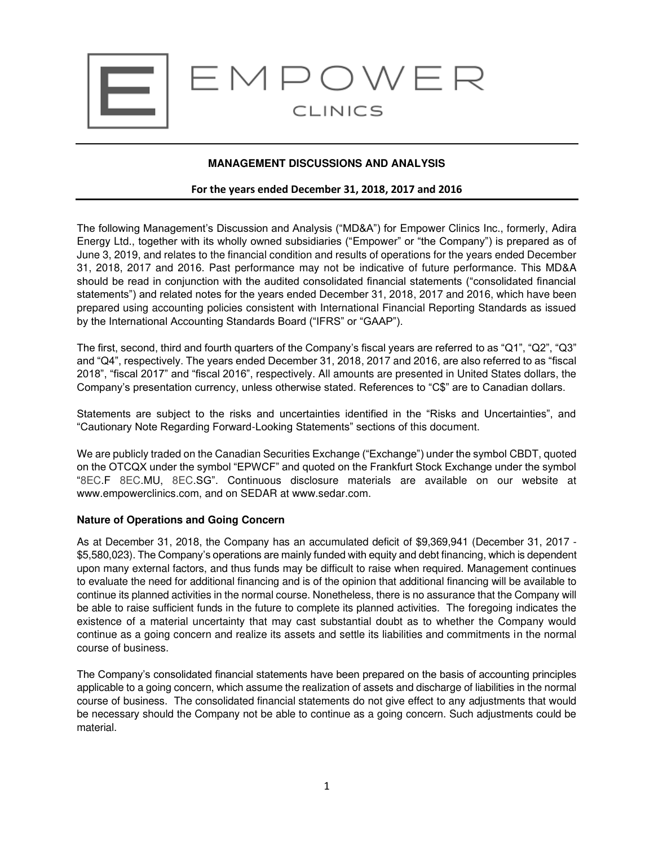

# **MANAGEMENT DISCUSSIONS AND ANALYSIS**

## **For the years ended December 31, 2018, 2017 and 2016**

The following Management's Discussion and Analysis ("MD&A") for Empower Clinics Inc., formerly, Adira Energy Ltd., together with its wholly owned subsidiaries ("Empower" or "the Company") is prepared as of June 3, 2019, and relates to the financial condition and results of operations for the years ended December 31, 2018, 2017 and 2016. Past performance may not be indicative of future performance. This MD&A should be read in conjunction with the audited consolidated financial statements ("consolidated financial statements") and related notes for the years ended December 31, 2018, 2017 and 2016, which have been prepared using accounting policies consistent with International Financial Reporting Standards as issued by the International Accounting Standards Board ("IFRS" or "GAAP").

The first, second, third and fourth quarters of the Company's fiscal years are referred to as "Q1", "Q2", "Q3" and "Q4", respectively. The years ended December 31, 2018, 2017 and 2016, are also referred to as "fiscal 2018", "fiscal 2017" and "fiscal 2016", respectively. All amounts are presented in United States dollars, the Company's presentation currency, unless otherwise stated. References to "C\$" are to Canadian dollars.

Statements are subject to the risks and uncertainties identified in the "Risks and Uncertainties", and "Cautionary Note Regarding Forward-Looking Statements" sections of this document.

We are publicly traded on the Canadian Securities Exchange ("Exchange") under the symbol CBDT, quoted on the OTCQX under the symbol "EPWCF" and quoted on the Frankfurt Stock Exchange under the symbol "8EC.F 8EC.MU, 8EC.SG". Continuous disclosure materials are available on our website at www.empowerclinics.com, and on SEDAR at www.sedar.com.

## **Nature of Operations and Going Concern**

As at December 31, 2018, the Company has an accumulated deficit of \$9,369,941 (December 31, 2017 - \$5,580,023). The Company's operations are mainly funded with equity and debt financing, which is dependent upon many external factors, and thus funds may be difficult to raise when required. Management continues to evaluate the need for additional financing and is of the opinion that additional financing will be available to continue its planned activities in the normal course. Nonetheless, there is no assurance that the Company will be able to raise sufficient funds in the future to complete its planned activities. The foregoing indicates the existence of a material uncertainty that may cast substantial doubt as to whether the Company would continue as a going concern and realize its assets and settle its liabilities and commitments in the normal course of business.

The Company's consolidated financial statements have been prepared on the basis of accounting principles applicable to a going concern, which assume the realization of assets and discharge of liabilities in the normal course of business. The consolidated financial statements do not give effect to any adjustments that would be necessary should the Company not be able to continue as a going concern. Such adjustments could be material.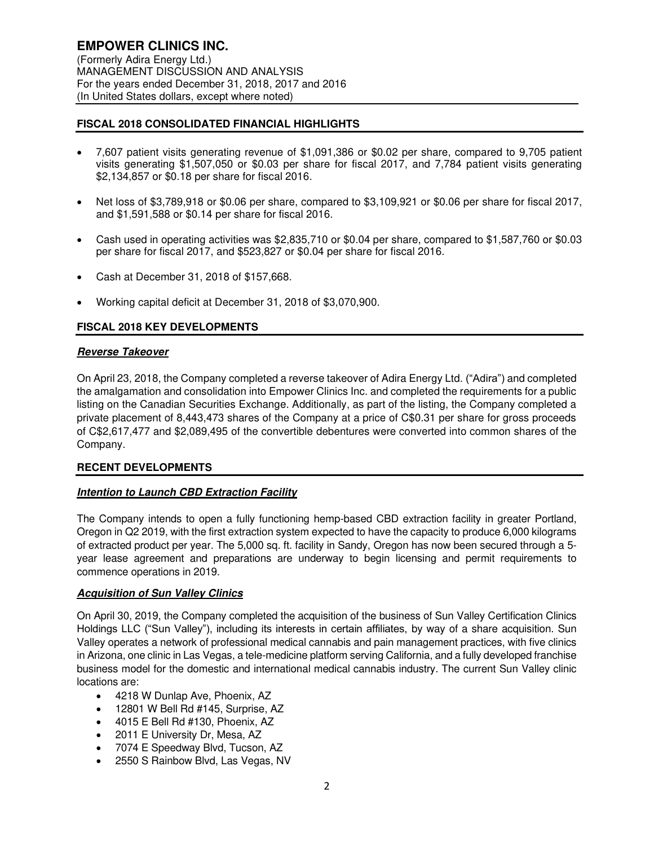# **FISCAL 2018 CONSOLIDATED FINANCIAL HIGHLIGHTS**

- 7,607 patient visits generating revenue of \$1,091,386 or \$0.02 per share, compared to 9,705 patient visits generating \$1,507,050 or \$0.03 per share for fiscal 2017, and 7,784 patient visits generating \$2,134,857 or \$0.18 per share for fiscal 2016.
- Net loss of \$3,789,918 or \$0.06 per share, compared to \$3,109,921 or \$0.06 per share for fiscal 2017, and \$1,591,588 or \$0.14 per share for fiscal 2016.
- Cash used in operating activities was \$2,835,710 or \$0.04 per share, compared to \$1,587,760 or \$0.03 per share for fiscal 2017, and \$523,827 or \$0.04 per share for fiscal 2016.
- Cash at December 31, 2018 of \$157,668.
- Working capital deficit at December 31, 2018 of \$3,070,900.

# **FISCAL 2018 KEY DEVELOPMENTS**

## **Reverse Takeover**

On April 23, 2018, the Company completed a reverse takeover of Adira Energy Ltd. ("Adira") and completed the amalgamation and consolidation into Empower Clinics Inc. and completed the requirements for a public listing on the Canadian Securities Exchange. Additionally, as part of the listing, the Company completed a private placement of 8,443,473 shares of the Company at a price of C\$0.31 per share for gross proceeds of C\$2,617,477 and \$2,089,495 of the convertible debentures were converted into common shares of the Company.

## **RECENT DEVELOPMENTS**

# **Intention to Launch CBD Extraction Facility**

The Company intends to open a fully functioning hemp-based CBD extraction facility in greater Portland, Oregon in Q2 2019, with the first extraction system expected to have the capacity to produce 6,000 kilograms of extracted product per year. The 5,000 sq. ft. facility in Sandy, Oregon has now been secured through a 5 year lease agreement and preparations are underway to begin licensing and permit requirements to commence operations in 2019.

## **Acquisition of Sun Valley Clinics**

On April 30, 2019, the Company completed the acquisition of the business of Sun Valley Certification Clinics Holdings LLC ("Sun Valley"), including its interests in certain affiliates, by way of a share acquisition. Sun Valley operates a network of professional medical cannabis and pain management practices, with five clinics in Arizona, one clinic in Las Vegas, a tele-medicine platform serving California, and a fully developed franchise business model for the domestic and international medical cannabis industry. The current Sun Valley clinic locations are:

- 4218 W Dunlap Ave, Phoenix, AZ
- 12801 W Bell Rd #145, Surprise, AZ
- 4015 E Bell Rd #130, Phoenix, AZ
- 2011 E University Dr, Mesa, AZ
- 7074 E Speedway Blvd, Tucson, AZ
- 2550 S Rainbow Blvd, Las Vegas, NV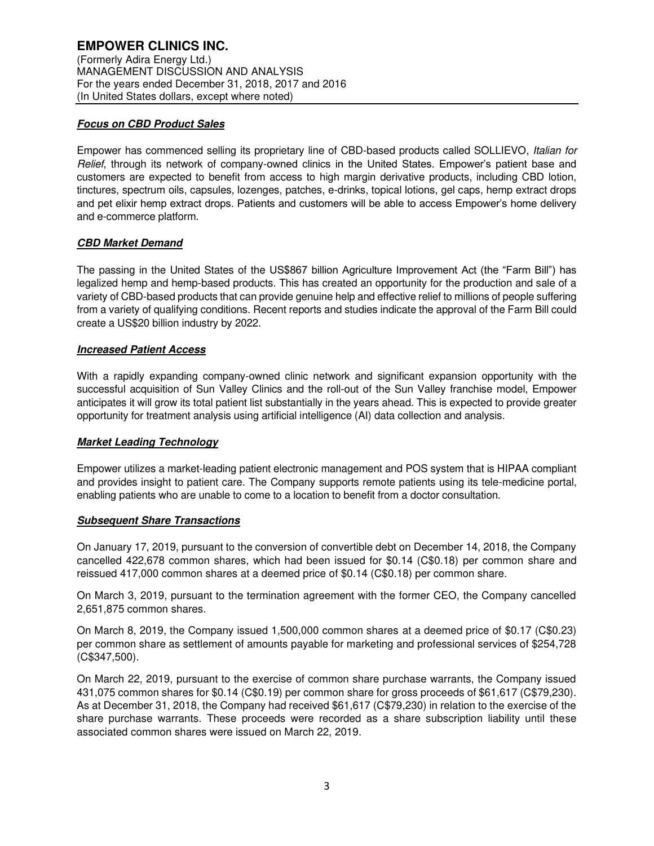# **Focus on CBD Product Sales**

Empower has commenced selling its proprietary line of CBD-based products called SOLLIEVO, Italian for Relief, through its network of company-owned clinics in the United States. Empower's patient base and customers are expected to benefit from access to high margin derivative products, including CBD lotion, tinctures, spectrum oils, capsules, lozenges, patches, e-drinks, topical lotions, gel caps, hemp extract drops and pet elixir hemp extract drops. Patients and customers will be able to access Empower's home delivery and e-commerce platform.

# **CBD Market Demand**

The passing in the United States of the US\$867 billion Agriculture Improvement Act (the "Farm Bill") has legalized hemp and hemp-based products. This has created an opportunity for the production and sale of a variety of CBD-based products that can provide genuine help and effective relief to millions of people suffering from a variety of qualifying conditions. Recent reports and studies indicate the approval of the Farm Bill could create a US\$20 billion industry by 2022.

# **Increased Patient Access**

With a rapidly expanding company-owned clinic network and significant expansion opportunity with the successful acquisition of Sun Valley Clinics and the roll-out of the Sun Valley franchise model, Empower anticipates it will grow its total patient list substantially in the years ahead. This is expected to provide greater opportunity for treatment analysis using artificial intelligence (AI) data collection and analysis.

# **Market Leading Technology**

Empower utilizes a market-leading patient electronic management and POS system that is HIPAA compliant and provides insight to patient care. The Company supports remote patients using its tele-medicine portal, enabling patients who are unable to come to a location to benefit from a doctor consultation.

# **Subsequent Share Transactions**

On January 17, 2019, pursuant to the conversion of convertible debt on December 14, 2018, the Company cancelled 422,678 common shares, which had been issued for \$0.14 (C\$0.18) per common share and reissued 417,000 common shares at a deemed price of \$0.14 (C\$0.18) per common share.

On March 3, 2019, pursuant to the termination agreement with the former CEO, the Company cancelled 2,651,875 common shares.

On March 8, 2019, the Company issued 1,500,000 common shares at a deemed price of \$0.17 (C\$0.23) per common share as settlement of amounts payable for marketing and professional services of \$254,728 (C\$347,500).

On March 22, 2019, pursuant to the exercise of common share purchase warrants, the Company issued 431,075 common shares for \$0.14 (C\$0.19) per common share for gross proceeds of \$61,617 (C\$79,230). As at December 31, 2018, the Company had received \$61,617 (C\$79,230) in relation to the exercise of the share purchase warrants. These proceeds were recorded as a share subscription liability until these associated common shares were issued on March 22, 2019.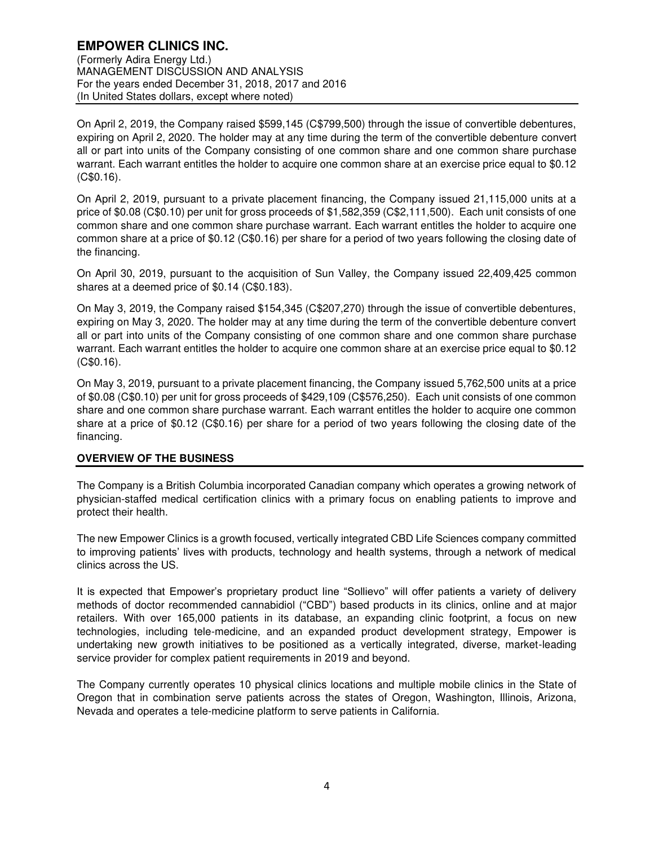(Formerly Adira Energy Ltd.) MANAGEMENT DISCUSSION AND ANALYSIS For the years ended December 31, 2018, 2017 and 2016 (In United States dollars, except where noted)

On April 2, 2019, the Company raised \$599,145 (C\$799,500) through the issue of convertible debentures, expiring on April 2, 2020. The holder may at any time during the term of the convertible debenture convert all or part into units of the Company consisting of one common share and one common share purchase warrant. Each warrant entitles the holder to acquire one common share at an exercise price equal to \$0.12 (C\$0.16).

On April 2, 2019, pursuant to a private placement financing, the Company issued 21,115,000 units at a price of \$0.08 (C\$0.10) per unit for gross proceeds of \$1,582,359 (C\$2,111,500). Each unit consists of one common share and one common share purchase warrant. Each warrant entitles the holder to acquire one common share at a price of \$0.12 (C\$0.16) per share for a period of two years following the closing date of the financing.

On April 30, 2019, pursuant to the acquisition of Sun Valley, the Company issued 22,409,425 common shares at a deemed price of \$0.14 (C\$0.183).

On May 3, 2019, the Company raised \$154,345 (C\$207,270) through the issue of convertible debentures, expiring on May 3, 2020. The holder may at any time during the term of the convertible debenture convert all or part into units of the Company consisting of one common share and one common share purchase warrant. Each warrant entitles the holder to acquire one common share at an exercise price equal to \$0.12 (C\$0.16).

On May 3, 2019, pursuant to a private placement financing, the Company issued 5,762,500 units at a price of \$0.08 (C\$0.10) per unit for gross proceeds of \$429,109 (C\$576,250). Each unit consists of one common share and one common share purchase warrant. Each warrant entitles the holder to acquire one common share at a price of \$0.12 (C\$0.16) per share for a period of two years following the closing date of the financing.

# **OVERVIEW OF THE BUSINESS**

The Company is a British Columbia incorporated Canadian company which operates a growing network of physician-staffed medical certification clinics with a primary focus on enabling patients to improve and protect their health.

The new Empower Clinics is a growth focused, vertically integrated CBD Life Sciences company committed to improving patients' lives with products, technology and health systems, through a network of medical clinics across the US.

It is expected that Empower's proprietary product line "Sollievo" will offer patients a variety of delivery methods of doctor recommended cannabidiol ("CBD") based products in its clinics, online and at major retailers. With over 165,000 patients in its database, an expanding clinic footprint, a focus on new technologies, including tele-medicine, and an expanded product development strategy, Empower is undertaking new growth initiatives to be positioned as a vertically integrated, diverse, market-leading service provider for complex patient requirements in 2019 and beyond.

The Company currently operates 10 physical clinics locations and multiple mobile clinics in the State of Oregon that in combination serve patients across the states of Oregon, Washington, Illinois, Arizona, Nevada and operates a tele-medicine platform to serve patients in California.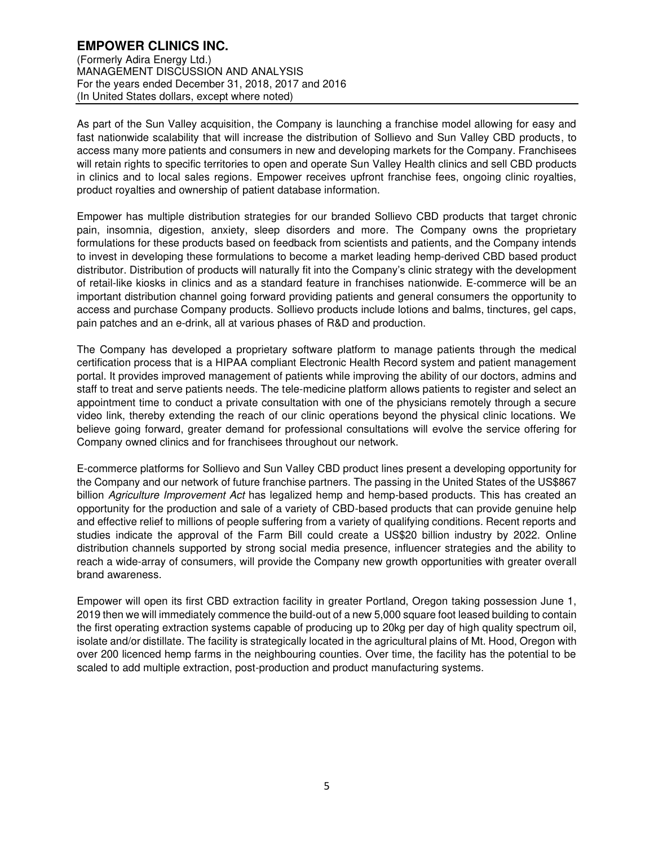(Formerly Adira Energy Ltd.) MANAGEMENT DISCUSSION AND ANALYSIS For the years ended December 31, 2018, 2017 and 2016 (In United States dollars, except where noted)

As part of the Sun Valley acquisition, the Company is launching a franchise model allowing for easy and fast nationwide scalability that will increase the distribution of Sollievo and Sun Valley CBD products, to access many more patients and consumers in new and developing markets for the Company. Franchisees will retain rights to specific territories to open and operate Sun Valley Health clinics and sell CBD products in clinics and to local sales regions. Empower receives upfront franchise fees, ongoing clinic royalties, product royalties and ownership of patient database information.

Empower has multiple distribution strategies for our branded Sollievo CBD products that target chronic pain, insomnia, digestion, anxiety, sleep disorders and more. The Company owns the proprietary formulations for these products based on feedback from scientists and patients, and the Company intends to invest in developing these formulations to become a market leading hemp-derived CBD based product distributor. Distribution of products will naturally fit into the Company's clinic strategy with the development of retail-like kiosks in clinics and as a standard feature in franchises nationwide. E-commerce will be an important distribution channel going forward providing patients and general consumers the opportunity to access and purchase Company products. Sollievo products include lotions and balms, tinctures, gel caps, pain patches and an e-drink, all at various phases of R&D and production.

The Company has developed a proprietary software platform to manage patients through the medical certification process that is a HIPAA compliant Electronic Health Record system and patient management portal. It provides improved management of patients while improving the ability of our doctors, admins and staff to treat and serve patients needs. The tele-medicine platform allows patients to register and select an appointment time to conduct a private consultation with one of the physicians remotely through a secure video link, thereby extending the reach of our clinic operations beyond the physical clinic locations. We believe going forward, greater demand for professional consultations will evolve the service offering for Company owned clinics and for franchisees throughout our network.

E-commerce platforms for Sollievo and Sun Valley CBD product lines present a developing opportunity for the Company and our network of future franchise partners. The passing in the United States of the US\$867 billion Agriculture Improvement Act has legalized hemp and hemp-based products. This has created an opportunity for the production and sale of a variety of CBD-based products that can provide genuine help and effective relief to millions of people suffering from a variety of qualifying conditions. Recent reports and studies indicate the approval of the Farm Bill could create a US\$20 billion industry by 2022. Online distribution channels supported by strong social media presence, influencer strategies and the ability to reach a wide-array of consumers, will provide the Company new growth opportunities with greater overall brand awareness.

Empower will open its first CBD extraction facility in greater Portland, Oregon taking possession June 1, 2019 then we will immediately commence the build-out of a new 5,000 square foot leased building to contain the first operating extraction systems capable of producing up to 20kg per day of high quality spectrum oil, isolate and/or distillate. The facility is strategically located in the agricultural plains of Mt. Hood, Oregon with over 200 licenced hemp farms in the neighbouring counties. Over time, the facility has the potential to be scaled to add multiple extraction, post-production and product manufacturing systems.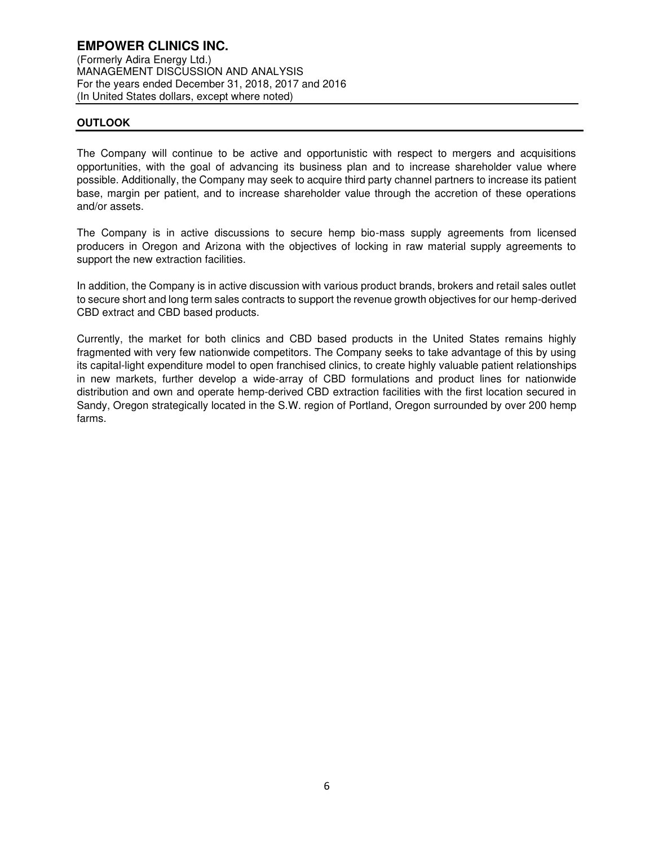## **OUTLOOK**

The Company will continue to be active and opportunistic with respect to mergers and acquisitions opportunities, with the goal of advancing its business plan and to increase shareholder value where possible. Additionally, the Company may seek to acquire third party channel partners to increase its patient base, margin per patient, and to increase shareholder value through the accretion of these operations and/or assets.

The Company is in active discussions to secure hemp bio-mass supply agreements from licensed producers in Oregon and Arizona with the objectives of locking in raw material supply agreements to support the new extraction facilities.

In addition, the Company is in active discussion with various product brands, brokers and retail sales outlet to secure short and long term sales contracts to support the revenue growth objectives for our hemp-derived CBD extract and CBD based products.

Currently, the market for both clinics and CBD based products in the United States remains highly fragmented with very few nationwide competitors. The Company seeks to take advantage of this by using its capital-light expenditure model to open franchised clinics, to create highly valuable patient relationships in new markets, further develop a wide-array of CBD formulations and product lines for nationwide distribution and own and operate hemp-derived CBD extraction facilities with the first location secured in Sandy, Oregon strategically located in the S.W. region of Portland, Oregon surrounded by over 200 hemp farms.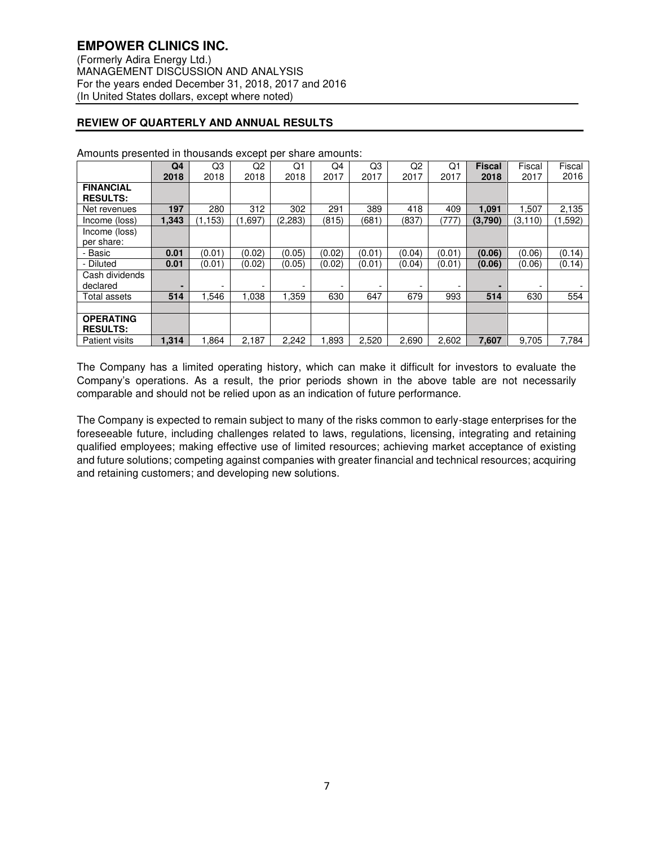# **REVIEW OF QUARTERLY AND ANNUAL RESULTS**

|                                     | Q4    | Q3      | Q2      | Q1      | Q4                       | Q3     | Q2     | Q <sub>1</sub> | <b>Fiscal</b> | Fiscal   | Fiscal  |
|-------------------------------------|-------|---------|---------|---------|--------------------------|--------|--------|----------------|---------------|----------|---------|
|                                     | 2018  | 2018    | 2018    | 2018    | 2017                     | 2017   | 2017   | 2017           | 2018          | 2017     | 2016    |
| <b>FINANCIAL</b><br><b>RESULTS:</b> |       |         |         |         |                          |        |        |                |               |          |         |
| Net revenues                        | 197   | 280     | 312     | 302     | 291                      | 389    | 418    | 409            | 1.091         | .507     | 2,135   |
| Income (loss)                       | 1,343 | (1.153) | (1,697) | (2,283) | (815)                    | (681)  | (837)  | (777           | (3,790)       | (3, 110) | (1,592) |
| Income (loss)                       |       |         |         |         |                          |        |        |                |               |          |         |
| per share:                          |       |         |         |         |                          |        |        |                |               |          |         |
| - Basic                             | 0.01  | (0.01)  | (0.02)  | (0.05)  | (0.02)                   | (0.01) | (0.04) | (0.01)         | (0.06)        | (0.06)   | (0.14)  |
| - Diluted                           | 0.01  | (0.01)  | (0.02)  | (0.05)  | (0.02)                   | (0.01) | (0.04) | (0.01)         | (0.06)        | (0.06)   | (0.14)  |
| Cash dividends                      |       |         |         |         |                          |        |        |                |               |          |         |
| declared                            |       |         |         |         | $\overline{\phantom{0}}$ | ٠      |        |                |               |          |         |
| Total assets                        | 514   | .546    | 1.038   | 1.359   | 630                      | 647    | 679    | 993            | 514           | 630      | 554     |
|                                     |       |         |         |         |                          |        |        |                |               |          |         |
| <b>OPERATING</b>                    |       |         |         |         |                          |        |        |                |               |          |         |
| <b>RESULTS:</b>                     |       |         |         |         |                          |        |        |                |               |          |         |
| <b>Patient visits</b>               | 1,314 | .864    | 2,187   | 2,242   | .893                     | 2,520  | 2,690  | 2,602          | 7,607         | 9,705    | 7,784   |

Amounts presented in thousands except per share amounts:

The Company has a limited operating history, which can make it difficult for investors to evaluate the Company's operations. As a result, the prior periods shown in the above table are not necessarily comparable and should not be relied upon as an indication of future performance.

The Company is expected to remain subject to many of the risks common to early-stage enterprises for the foreseeable future, including challenges related to laws, regulations, licensing, integrating and retaining qualified employees; making effective use of limited resources; achieving market acceptance of existing and future solutions; competing against companies with greater financial and technical resources; acquiring and retaining customers; and developing new solutions.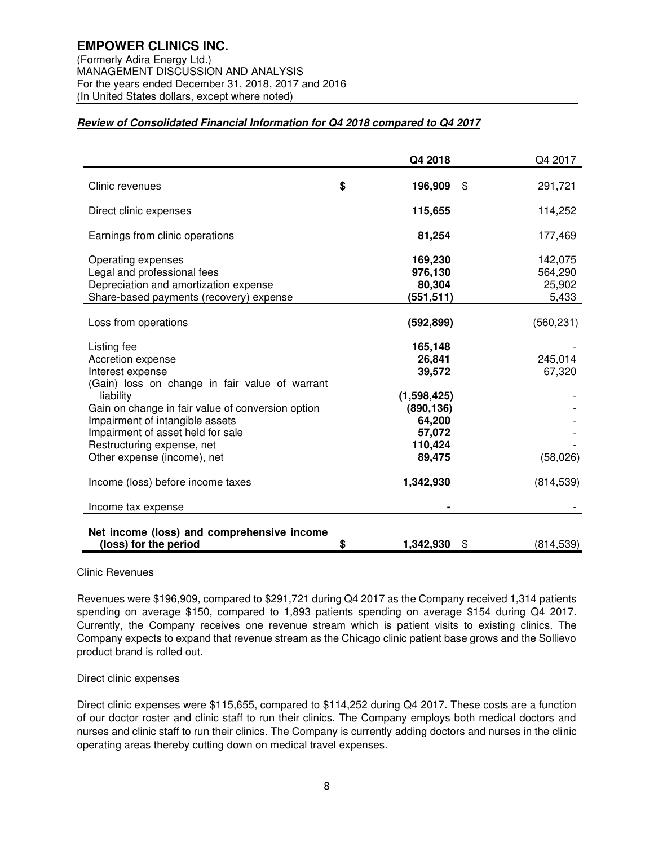## **Review of Consolidated Financial Information for Q4 2018 compared to Q4 2017**

|                                                   | Q4 2018               | Q4 2017    |
|---------------------------------------------------|-----------------------|------------|
|                                                   |                       |            |
| Clinic revenues                                   | \$<br>196,909<br>\$   | 291,721    |
| Direct clinic expenses                            | 115,655               | 114,252    |
| Earnings from clinic operations                   | 81,254                | 177,469    |
|                                                   |                       |            |
| Operating expenses                                | 169,230               | 142,075    |
| Legal and professional fees                       | 976,130               | 564,290    |
| Depreciation and amortization expense             | 80,304                | 25,902     |
| Share-based payments (recovery) expense           | (551, 511)            | 5,433      |
|                                                   |                       |            |
| Loss from operations                              | (592, 899)            | (560, 231) |
| Listing fee                                       | 165,148               |            |
| Accretion expense                                 | 26,841                | 245,014    |
| Interest expense                                  | 39,572                | 67,320     |
| (Gain) loss on change in fair value of warrant    |                       |            |
| liability                                         | (1,598,425)           |            |
| Gain on change in fair value of conversion option | (890, 136)            |            |
| Impairment of intangible assets                   | 64,200                |            |
| Impairment of asset held for sale                 | 57,072                |            |
| Restructuring expense, net                        | 110,424               |            |
| Other expense (income), net                       | 89,475                | (58,026)   |
|                                                   |                       |            |
| Income (loss) before income taxes                 | 1,342,930             | (814, 539) |
| Income tax expense                                |                       |            |
| Net income (loss) and comprehensive income        |                       |            |
| (loss) for the period                             | \$<br>1,342,930<br>\$ | (814, 539) |

## Clinic Revenues

Revenues were \$196,909, compared to \$291,721 during Q4 2017 as the Company received 1,314 patients spending on average \$150, compared to 1,893 patients spending on average \$154 during Q4 2017. Currently, the Company receives one revenue stream which is patient visits to existing clinics. The Company expects to expand that revenue stream as the Chicago clinic patient base grows and the Sollievo product brand is rolled out.

## Direct clinic expenses

Direct clinic expenses were \$115,655, compared to \$114,252 during Q4 2017. These costs are a function of our doctor roster and clinic staff to run their clinics. The Company employs both medical doctors and nurses and clinic staff to run their clinics. The Company is currently adding doctors and nurses in the clinic operating areas thereby cutting down on medical travel expenses.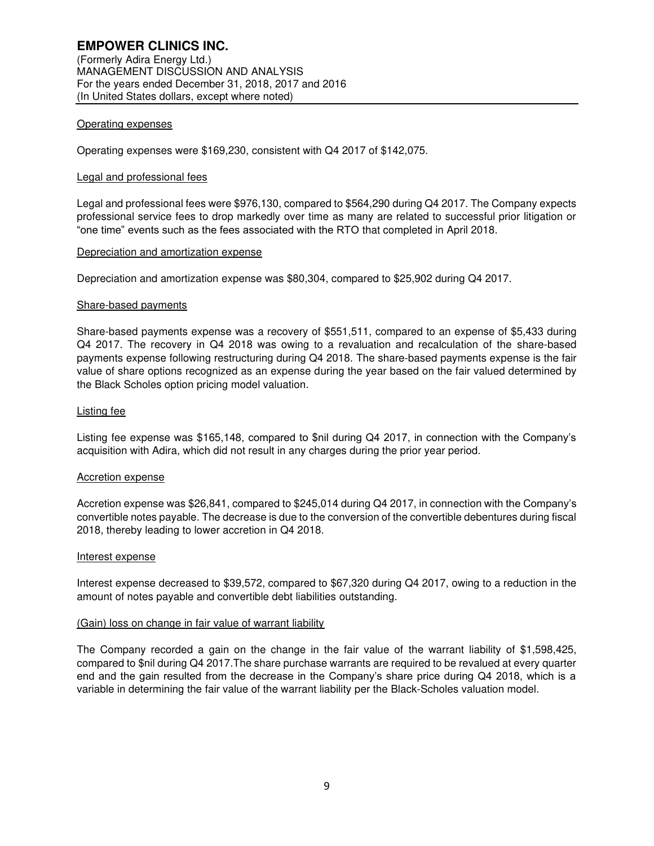### Operating expenses

Operating expenses were \$169,230, consistent with Q4 2017 of \$142,075.

#### Legal and professional fees

Legal and professional fees were \$976,130, compared to \$564,290 during Q4 2017. The Company expects professional service fees to drop markedly over time as many are related to successful prior litigation or "one time" events such as the fees associated with the RTO that completed in April 2018.

#### Depreciation and amortization expense

Depreciation and amortization expense was \$80,304, compared to \$25,902 during Q4 2017.

#### Share-based payments

Share-based payments expense was a recovery of \$551,511, compared to an expense of \$5,433 during Q4 2017. The recovery in Q4 2018 was owing to a revaluation and recalculation of the share-based payments expense following restructuring during Q4 2018. The share-based payments expense is the fair value of share options recognized as an expense during the year based on the fair valued determined by the Black Scholes option pricing model valuation.

#### Listing fee

Listing fee expense was \$165,148, compared to \$nil during Q4 2017, in connection with the Company's acquisition with Adira, which did not result in any charges during the prior year period.

#### Accretion expense

Accretion expense was \$26,841, compared to \$245,014 during Q4 2017, in connection with the Company's convertible notes payable. The decrease is due to the conversion of the convertible debentures during fiscal 2018, thereby leading to lower accretion in Q4 2018.

#### Interest expense

Interest expense decreased to \$39,572, compared to \$67,320 during Q4 2017, owing to a reduction in the amount of notes payable and convertible debt liabilities outstanding.

#### (Gain) loss on change in fair value of warrant liability

The Company recorded a gain on the change in the fair value of the warrant liability of \$1,598,425, compared to \$nil during Q4 2017.The share purchase warrants are required to be revalued at every quarter end and the gain resulted from the decrease in the Company's share price during Q4 2018, which is a variable in determining the fair value of the warrant liability per the Black-Scholes valuation model.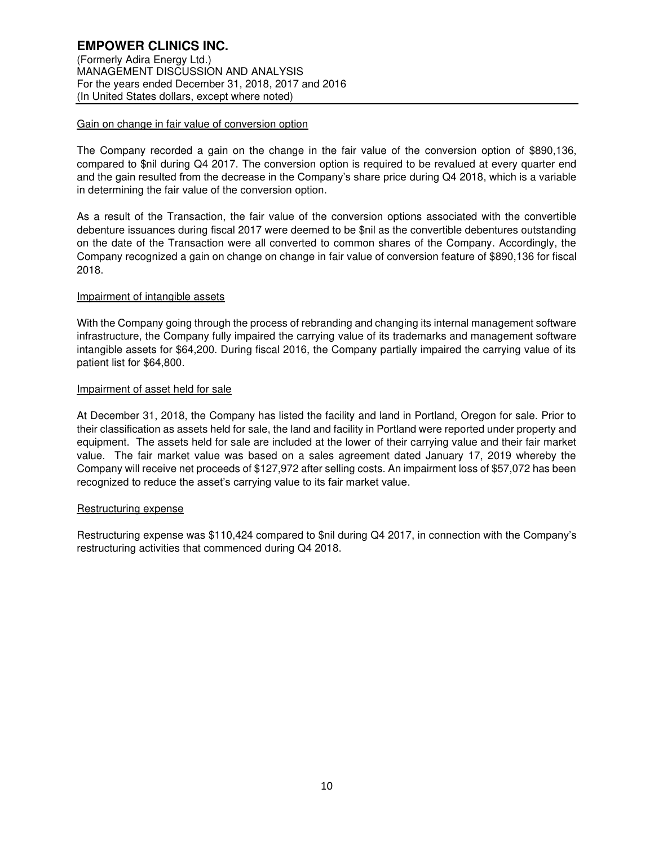## Gain on change in fair value of conversion option

The Company recorded a gain on the change in the fair value of the conversion option of \$890,136, compared to \$nil during Q4 2017. The conversion option is required to be revalued at every quarter end and the gain resulted from the decrease in the Company's share price during Q4 2018, which is a variable in determining the fair value of the conversion option.

As a result of the Transaction, the fair value of the conversion options associated with the convertible debenture issuances during fiscal 2017 were deemed to be \$nil as the convertible debentures outstanding on the date of the Transaction were all converted to common shares of the Company. Accordingly, the Company recognized a gain on change on change in fair value of conversion feature of \$890,136 for fiscal 2018.

## Impairment of intangible assets

With the Company going through the process of rebranding and changing its internal management software infrastructure, the Company fully impaired the carrying value of its trademarks and management software intangible assets for \$64,200. During fiscal 2016, the Company partially impaired the carrying value of its patient list for \$64,800.

## Impairment of asset held for sale

At December 31, 2018, the Company has listed the facility and land in Portland, Oregon for sale. Prior to their classification as assets held for sale, the land and facility in Portland were reported under property and equipment. The assets held for sale are included at the lower of their carrying value and their fair market value. The fair market value was based on a sales agreement dated January 17, 2019 whereby the Company will receive net proceeds of \$127,972 after selling costs. An impairment loss of \$57,072 has been recognized to reduce the asset's carrying value to its fair market value.

## Restructuring expense

Restructuring expense was \$110,424 compared to \$nil during Q4 2017, in connection with the Company's restructuring activities that commenced during Q4 2018.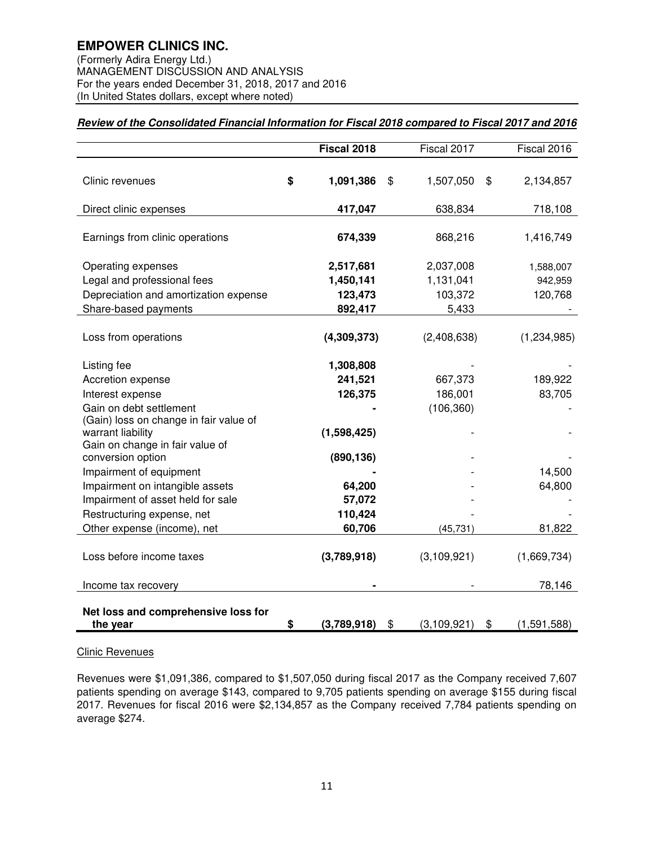(Formerly Adira Energy Ltd.) MANAGEMENT DISCUSSION AND ANALYSIS For the years ended December 31, 2018, 2017 and 2016 (In United States dollars, except where noted)

# **Review of the Consolidated Financial Information for Fiscal 2018 compared to Fiscal 2017 and 2016**

|                                                      | Fiscal 2018       | Fiscal 2017         | Fiscal 2016       |
|------------------------------------------------------|-------------------|---------------------|-------------------|
|                                                      |                   |                     |                   |
| Clinic revenues                                      | \$<br>1,091,386   | \$<br>1,507,050     | \$<br>2,134,857   |
|                                                      |                   |                     |                   |
| Direct clinic expenses                               | 417,047           | 638,834             | 718,108           |
| Earnings from clinic operations                      | 674,339           | 868,216             | 1,416,749         |
| Operating expenses                                   | 2,517,681         | 2,037,008           | 1,588,007         |
| Legal and professional fees                          | 1,450,141         | 1,131,041           | 942,959           |
| Depreciation and amortization expense                | 123,473           | 103,372             | 120,768           |
| Share-based payments                                 | 892,417           | 5,433               |                   |
| Loss from operations                                 | (4,309,373)       | (2,408,638)         | (1,234,985)       |
| Listing fee                                          | 1,308,808         |                     |                   |
| Accretion expense                                    | 241,521           | 667,373             | 189,922           |
| Interest expense                                     | 126,375           | 186,001             | 83,705            |
| Gain on debt settlement                              |                   | (106, 360)          |                   |
| (Gain) loss on change in fair value of               |                   |                     |                   |
| warrant liability<br>Gain on change in fair value of | (1,598,425)       |                     |                   |
| conversion option                                    | (890, 136)        |                     |                   |
| Impairment of equipment                              |                   |                     | 14,500            |
| Impairment on intangible assets                      | 64,200            |                     | 64,800            |
| Impairment of asset held for sale                    | 57,072            |                     |                   |
| Restructuring expense, net                           | 110,424           |                     |                   |
| Other expense (income), net                          | 60,706            | (45, 731)           | 81,822            |
| Loss before income taxes                             | (3,789,918)       | (3,109,921)         | (1,669,734)       |
|                                                      |                   |                     |                   |
| Income tax recovery                                  |                   |                     | 78,146            |
|                                                      |                   |                     |                   |
| Net loss and comprehensive loss for<br>the year      | \$<br>(3,789,918) | \$<br>(3, 109, 921) | \$<br>(1,591,588) |

# Clinic Revenues

Revenues were \$1,091,386, compared to \$1,507,050 during fiscal 2017 as the Company received 7,607 patients spending on average \$143, compared to 9,705 patients spending on average \$155 during fiscal 2017. Revenues for fiscal 2016 were \$2,134,857 as the Company received 7,784 patients spending on average \$274.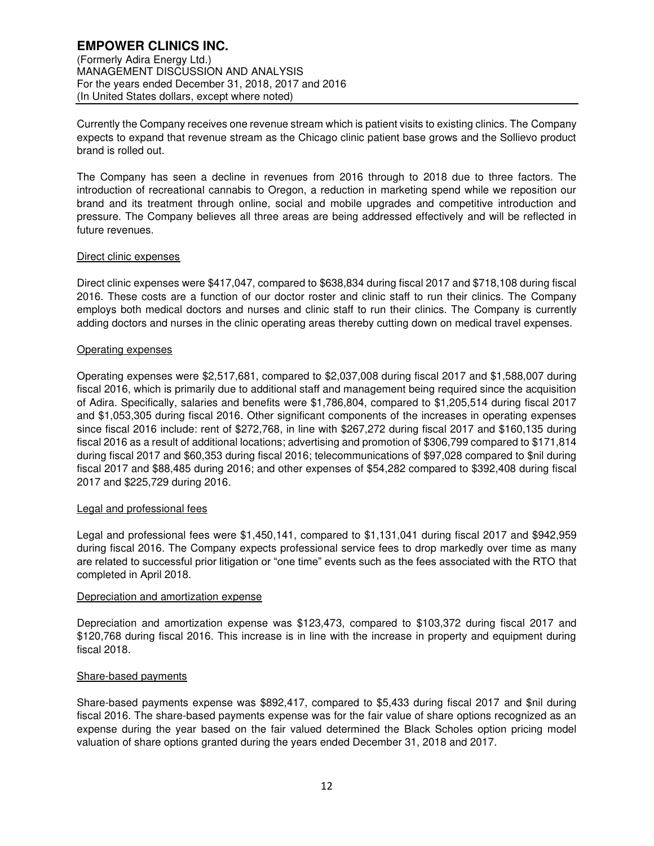Currently the Company receives one revenue stream which is patient visits to existing clinics. The Company expects to expand that revenue stream as the Chicago clinic patient base grows and the Sollievo product brand is rolled out.

The Company has seen a decline in revenues from 2016 through to 2018 due to three factors. The introduction of recreational cannabis to Oregon, a reduction in marketing spend while we reposition our brand and its treatment through online, social and mobile upgrades and competitive introduction and pressure. The Company believes all three areas are being addressed effectively and will be reflected in future revenues.

## Direct clinic expenses

Direct clinic expenses were \$417,047, compared to \$638,834 during fiscal 2017 and \$718,108 during fiscal 2016. These costs are a function of our doctor roster and clinic staff to run their clinics. The Company employs both medical doctors and nurses and clinic staff to run their clinics. The Company is currently adding doctors and nurses in the clinic operating areas thereby cutting down on medical travel expenses.

## Operating expenses

Operating expenses were \$2,517,681, compared to \$2,037,008 during fiscal 2017 and \$1,588,007 during fiscal 2016, which is primarily due to additional staff and management being required since the acquisition of Adira. Specifically, salaries and benefits were \$1,786,804, compared to \$1,205,514 during fiscal 2017 and \$1,053,305 during fiscal 2016. Other significant components of the increases in operating expenses since fiscal 2016 include: rent of \$272,768, in line with \$267,272 during fiscal 2017 and \$160,135 during fiscal 2016 as a result of additional locations; advertising and promotion of \$306,799 compared to \$171,814 during fiscal 2017 and \$60,353 during fiscal 2016; telecommunications of \$97,028 compared to \$nil during fiscal 2017 and \$88,485 during 2016; and other expenses of \$54,282 compared to \$392,408 during fiscal 2017 and \$225,729 during 2016.

## Legal and professional fees

Legal and professional fees were \$1,450,141, compared to \$1,131,041 during fiscal 2017 and \$942,959 during fiscal 2016. The Company expects professional service fees to drop markedly over time as many are related to successful prior litigation or "one time" events such as the fees associated with the RTO that completed in April 2018.

## Depreciation and amortization expense

Depreciation and amortization expense was \$123,473, compared to \$103,372 during fiscal 2017 and \$120,768 during fiscal 2016. This increase is in line with the increase in property and equipment during fiscal 2018.

## Share-based payments

Share-based payments expense was \$892,417, compared to \$5,433 during fiscal 2017 and \$nil during fiscal 2016. The share-based payments expense was for the fair value of share options recognized as an expense during the year based on the fair valued determined the Black Scholes option pricing model valuation of share options granted during the years ended December 31, 2018 and 2017.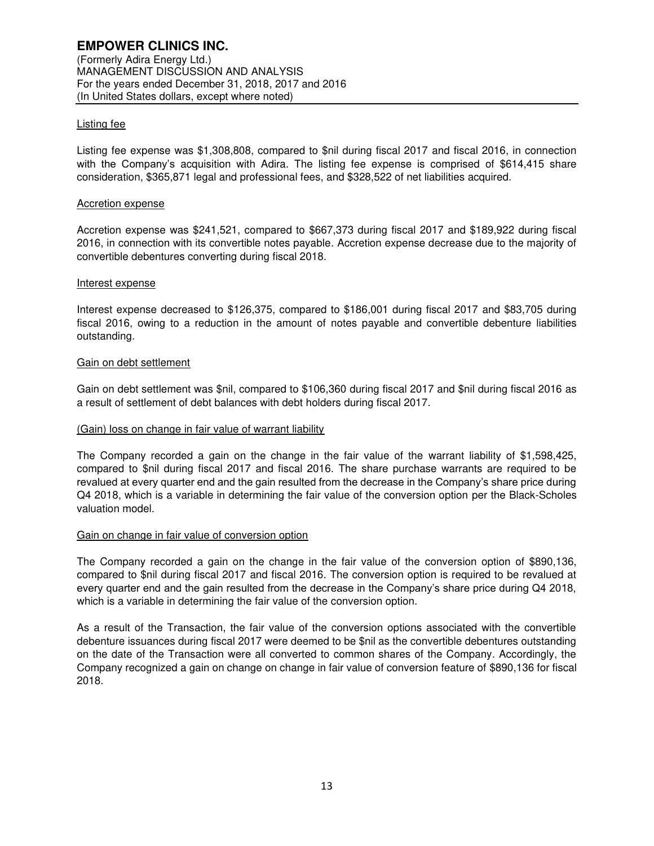## Listing fee

Listing fee expense was \$1,308,808, compared to \$nil during fiscal 2017 and fiscal 2016, in connection with the Company's acquisition with Adira. The listing fee expense is comprised of \$614,415 share consideration, \$365,871 legal and professional fees, and \$328,522 of net liabilities acquired.

### Accretion expense

Accretion expense was \$241,521, compared to \$667,373 during fiscal 2017 and \$189,922 during fiscal 2016, in connection with its convertible notes payable. Accretion expense decrease due to the majority of convertible debentures converting during fiscal 2018.

#### Interest expense

Interest expense decreased to \$126,375, compared to \$186,001 during fiscal 2017 and \$83,705 during fiscal 2016, owing to a reduction in the amount of notes payable and convertible debenture liabilities outstanding.

#### Gain on debt settlement

Gain on debt settlement was \$nil, compared to \$106,360 during fiscal 2017 and \$nil during fiscal 2016 as a result of settlement of debt balances with debt holders during fiscal 2017.

### (Gain) loss on change in fair value of warrant liability

The Company recorded a gain on the change in the fair value of the warrant liability of \$1,598,425, compared to \$nil during fiscal 2017 and fiscal 2016. The share purchase warrants are required to be revalued at every quarter end and the gain resulted from the decrease in the Company's share price during Q4 2018, which is a variable in determining the fair value of the conversion option per the Black-Scholes valuation model.

## Gain on change in fair value of conversion option

The Company recorded a gain on the change in the fair value of the conversion option of \$890,136, compared to \$nil during fiscal 2017 and fiscal 2016. The conversion option is required to be revalued at every quarter end and the gain resulted from the decrease in the Company's share price during Q4 2018, which is a variable in determining the fair value of the conversion option.

As a result of the Transaction, the fair value of the conversion options associated with the convertible debenture issuances during fiscal 2017 were deemed to be \$nil as the convertible debentures outstanding on the date of the Transaction were all converted to common shares of the Company. Accordingly, the Company recognized a gain on change on change in fair value of conversion feature of \$890,136 for fiscal 2018.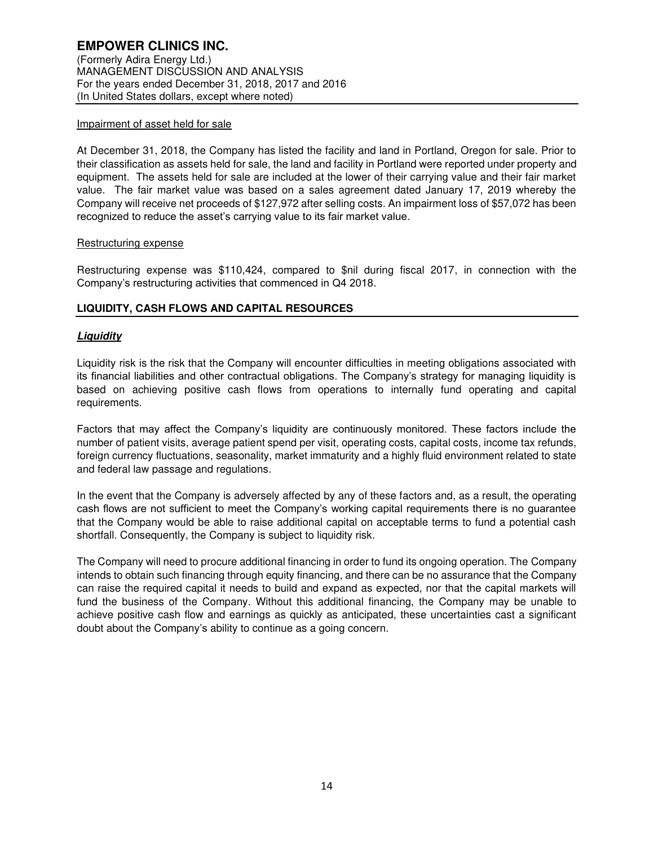## Impairment of asset held for sale

At December 31, 2018, the Company has listed the facility and land in Portland, Oregon for sale. Prior to their classification as assets held for sale, the land and facility in Portland were reported under property and equipment. The assets held for sale are included at the lower of their carrying value and their fair market value. The fair market value was based on a sales agreement dated January 17, 2019 whereby the Company will receive net proceeds of \$127,972 after selling costs. An impairment loss of \$57,072 has been recognized to reduce the asset's carrying value to its fair market value.

## Restructuring expense

Restructuring expense was \$110,424, compared to \$nil during fiscal 2017, in connection with the Company's restructuring activities that commenced in Q4 2018.

# **LIQUIDITY, CASH FLOWS AND CAPITAL RESOURCES**

# **Liquidity**

Liquidity risk is the risk that the Company will encounter difficulties in meeting obligations associated with its financial liabilities and other contractual obligations. The Company's strategy for managing liquidity is based on achieving positive cash flows from operations to internally fund operating and capital requirements.

Factors that may affect the Company's liquidity are continuously monitored. These factors include the number of patient visits, average patient spend per visit, operating costs, capital costs, income tax refunds, foreign currency fluctuations, seasonality, market immaturity and a highly fluid environment related to state and federal law passage and regulations.

In the event that the Company is adversely affected by any of these factors and, as a result, the operating cash flows are not sufficient to meet the Company's working capital requirements there is no guarantee that the Company would be able to raise additional capital on acceptable terms to fund a potential cash shortfall. Consequently, the Company is subject to liquidity risk.

The Company will need to procure additional financing in order to fund its ongoing operation. The Company intends to obtain such financing through equity financing, and there can be no assurance that the Company can raise the required capital it needs to build and expand as expected, nor that the capital markets will fund the business of the Company. Without this additional financing, the Company may be unable to achieve positive cash flow and earnings as quickly as anticipated, these uncertainties cast a significant doubt about the Company's ability to continue as a going concern.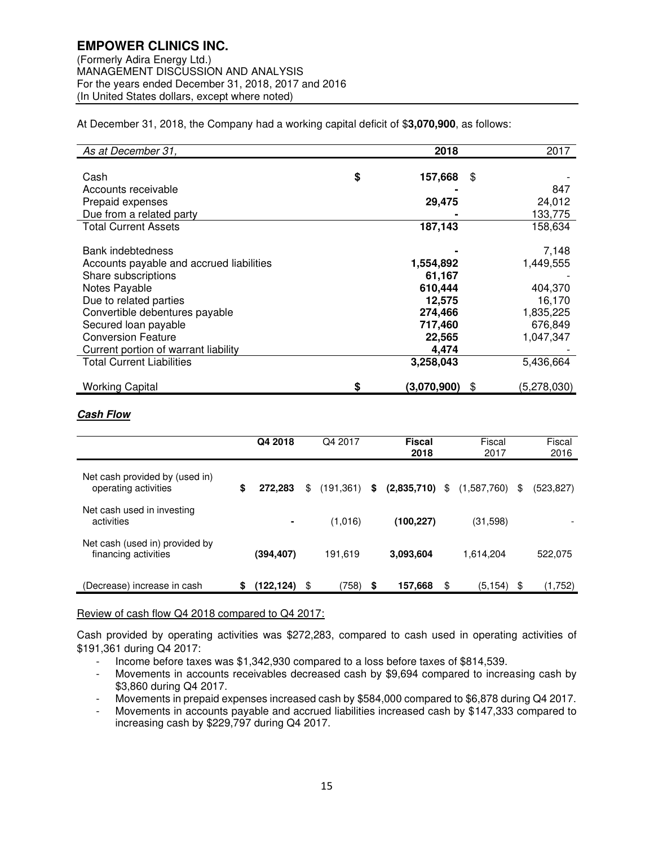At December 31, 2018, the Company had a working capital deficit of \$**3,070,900**, as follows:

| As at December 31,                       | 2018              | 2017              |
|------------------------------------------|-------------------|-------------------|
|                                          |                   |                   |
| Cash                                     | \$<br>157,668     | \$                |
| Accounts receivable                      |                   | 847               |
| Prepaid expenses                         | 29,475            | 24,012            |
| Due from a related party                 |                   | 133,775           |
| <b>Total Current Assets</b>              | 187,143           | 158.634           |
|                                          |                   |                   |
| Bank indebtedness                        |                   | 7,148             |
| Accounts payable and accrued liabilities | 1,554,892         | 1,449,555         |
| Share subscriptions                      | 61,167            |                   |
| Notes Payable                            | 610,444           | 404,370           |
| Due to related parties                   | 12,575            | 16,170            |
| Convertible debentures payable           | 274,466           | 1,835,225         |
| Secured loan payable                     | 717,460           | 676,849           |
| <b>Conversion Feature</b>                | 22,565            | 1,047,347         |
| Current portion of warrant liability     | 4,474             |                   |
| <b>Total Current Liabilities</b>         | 3,258,043         | 5,436,664         |
|                                          |                   |                   |
| <b>Working Capital</b>                   | \$<br>(3,070,900) | \$<br>(5,278,030) |

## **Cash Flow**

|                                                        | Q4 2018          | Q4 2017         | <b>Fiscal</b><br>2018  | Fiscal<br>2017 | Fiscal<br>2016   |
|--------------------------------------------------------|------------------|-----------------|------------------------|----------------|------------------|
| Net cash provided by (used in)<br>operating activities | \$<br>272.283    | \$<br>(191,361) | \$<br>$(2,835,710)$ \$ | (1,587,760)    | \$<br>(523, 827) |
| Net cash used in investing<br>activities               | $\blacksquare$   | (1,016)         | (100, 227)             | (31,598)       |                  |
| Net cash (used in) provided by<br>financing activities | (394,407)        | 191,619         | 3.093.604              | 1,614,204      | 522,075          |
| (Decrease) increase in cash                            | \$<br>(122, 124) | \$<br>(758)     | \$<br>157,668          | \$<br>(5, 154) | \$<br>(1,752)    |

## Review of cash flow Q4 2018 compared to Q4 2017:

Cash provided by operating activities was \$272,283, compared to cash used in operating activities of \$191,361 during Q4 2017:

- Income before taxes was \$1,342,930 compared to a loss before taxes of \$814,539.
- Movements in accounts receivables decreased cash by \$9,694 compared to increasing cash by \$3,860 during Q4 2017.
- Movements in prepaid expenses increased cash by \$584,000 compared to \$6,878 during Q4 2017.
- Movements in accounts payable and accrued liabilities increased cash by \$147,333 compared to increasing cash by \$229,797 during Q4 2017.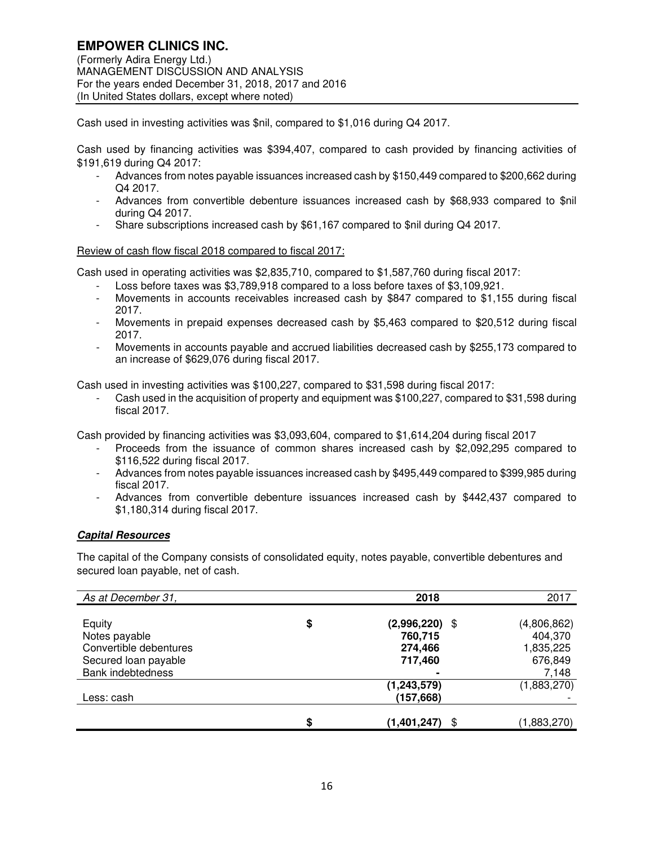(Formerly Adira Energy Ltd.) MANAGEMENT DISCUSSION AND ANALYSIS For the years ended December 31, 2018, 2017 and 2016 (In United States dollars, except where noted)

Cash used in investing activities was \$nil, compared to \$1,016 during Q4 2017.

Cash used by financing activities was \$394,407, compared to cash provided by financing activities of \$191,619 during Q4 2017:

- Advances from notes payable issuances increased cash by \$150,449 compared to \$200,662 during Q4 2017.
- Advances from convertible debenture issuances increased cash by \$68,933 compared to \$nil during Q4 2017.
- Share subscriptions increased cash by \$61,167 compared to \$nil during Q4 2017.

## Review of cash flow fiscal 2018 compared to fiscal 2017:

Cash used in operating activities was \$2,835,710, compared to \$1,587,760 during fiscal 2017:

- Loss before taxes was \$3,789,918 compared to a loss before taxes of \$3,109,921.
- Movements in accounts receivables increased cash by \$847 compared to \$1,155 during fiscal 2017.
- Movements in prepaid expenses decreased cash by \$5,463 compared to \$20,512 during fiscal 2017.
- Movements in accounts payable and accrued liabilities decreased cash by \$255,173 compared to an increase of \$629,076 during fiscal 2017.

Cash used in investing activities was \$100,227, compared to \$31,598 during fiscal 2017:

Cash used in the acquisition of property and equipment was \$100,227, compared to \$31,598 during fiscal 2017.

Cash provided by financing activities was \$3,093,604, compared to \$1,614,204 during fiscal 2017

- Proceeds from the issuance of common shares increased cash by \$2,092,295 compared to \$116,522 during fiscal 2017.
- Advances from notes payable issuances increased cash by \$495,449 compared to \$399,985 during fiscal 2017.
- Advances from convertible debenture issuances increased cash by \$442,437 compared to \$1,180,314 during fiscal 2017.

# **Capital Resources**

The capital of the Company consists of consolidated equity, notes payable, convertible debentures and secured loan payable, net of cash.

| As at December 31,       | 2018                     | 2017        |
|--------------------------|--------------------------|-------------|
|                          |                          |             |
| Equity                   | \$<br>(2,996,220)<br>-\$ | (4,806,862) |
| Notes payable            | 760,715                  | 404,370     |
| Convertible debentures   | 274,466                  | 1,835,225   |
| Secured loan payable     | 717,460                  | 676,849     |
| <b>Bank indebtedness</b> |                          | 7,148       |
|                          | (1, 243, 579)            | (1,883,270) |
| Less: cash               | (157, 668)               |             |
|                          |                          |             |
|                          | \$<br>(1,401,247)<br>\$  | (1,883,270) |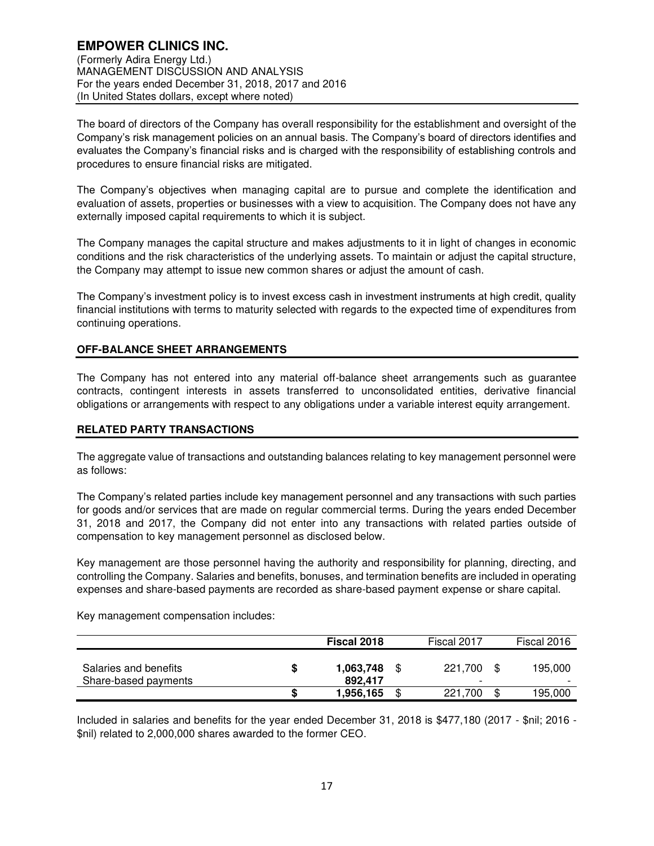The board of directors of the Company has overall responsibility for the establishment and oversight of the Company's risk management policies on an annual basis. The Company's board of directors identifies and evaluates the Company's financial risks and is charged with the responsibility of establishing controls and procedures to ensure financial risks are mitigated.

The Company's objectives when managing capital are to pursue and complete the identification and evaluation of assets, properties or businesses with a view to acquisition. The Company does not have any externally imposed capital requirements to which it is subject.

The Company manages the capital structure and makes adjustments to it in light of changes in economic conditions and the risk characteristics of the underlying assets. To maintain or adjust the capital structure, the Company may attempt to issue new common shares or adjust the amount of cash.

The Company's investment policy is to invest excess cash in investment instruments at high credit, quality financial institutions with terms to maturity selected with regards to the expected time of expenditures from continuing operations.

## **OFF-BALANCE SHEET ARRANGEMENTS**

The Company has not entered into any material off-balance sheet arrangements such as guarantee contracts, contingent interests in assets transferred to unconsolidated entities, derivative financial obligations or arrangements with respect to any obligations under a variable interest equity arrangement.

## **RELATED PARTY TRANSACTIONS**

The aggregate value of transactions and outstanding balances relating to key management personnel were as follows:

The Company's related parties include key management personnel and any transactions with such parties for goods and/or services that are made on regular commercial terms. During the years ended December 31, 2018 and 2017, the Company did not enter into any transactions with related parties outside of compensation to key management personnel as disclosed below.

Key management are those personnel having the authority and responsibility for planning, directing, and controlling the Company. Salaries and benefits, bonuses, and termination benefits are included in operating expenses and share-based payments are recorded as share-based payment expense or share capital.

Key management compensation includes:

|                                               |   | Fiscal 2018          | Fiscal 2017                         | Fiscal 2016                         |
|-----------------------------------------------|---|----------------------|-------------------------------------|-------------------------------------|
| Salaries and benefits<br>Share-based payments | S | 1,063,748<br>892.417 | 221.700<br>$\overline{\phantom{0}}$ | 195.000<br>$\overline{\phantom{0}}$ |
|                                               | S | 1,956,165            | \$<br>221.700                       | 195,000                             |

Included in salaries and benefits for the year ended December 31, 2018 is \$477,180 (2017 - \$nil; 2016 - \$nil) related to 2,000,000 shares awarded to the former CEO.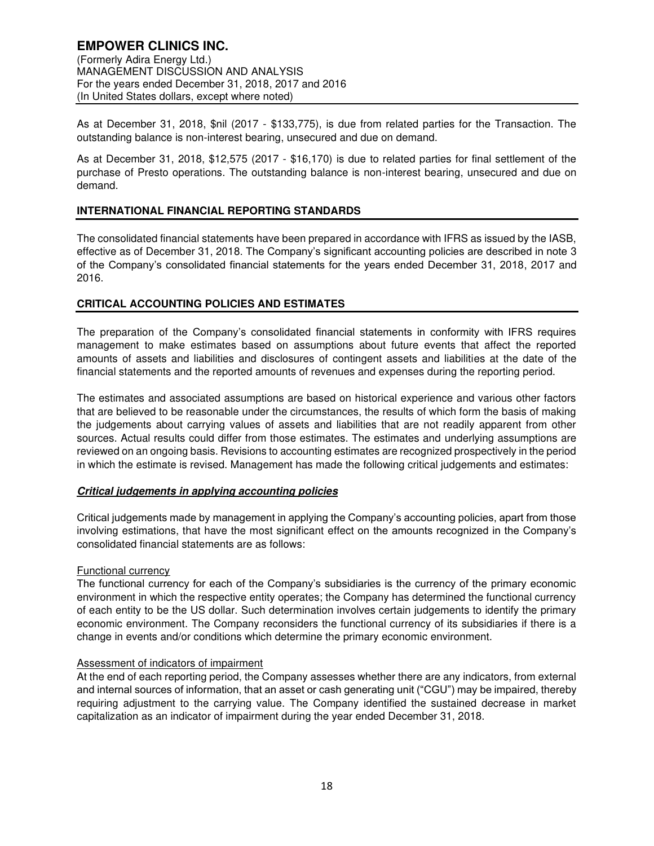As at December 31, 2018, \$nil (2017 - \$133,775), is due from related parties for the Transaction. The outstanding balance is non-interest bearing, unsecured and due on demand.

As at December 31, 2018, \$12,575 (2017 - \$16,170) is due to related parties for final settlement of the purchase of Presto operations. The outstanding balance is non-interest bearing, unsecured and due on demand.

## **INTERNATIONAL FINANCIAL REPORTING STANDARDS**

The consolidated financial statements have been prepared in accordance with IFRS as issued by the IASB, effective as of December 31, 2018. The Company's significant accounting policies are described in note 3 of the Company's consolidated financial statements for the years ended December 31, 2018, 2017 and 2016.

## **CRITICAL ACCOUNTING POLICIES AND ESTIMATES**

The preparation of the Company's consolidated financial statements in conformity with IFRS requires management to make estimates based on assumptions about future events that affect the reported amounts of assets and liabilities and disclosures of contingent assets and liabilities at the date of the financial statements and the reported amounts of revenues and expenses during the reporting period.

The estimates and associated assumptions are based on historical experience and various other factors that are believed to be reasonable under the circumstances, the results of which form the basis of making the judgements about carrying values of assets and liabilities that are not readily apparent from other sources. Actual results could differ from those estimates. The estimates and underlying assumptions are reviewed on an ongoing basis. Revisions to accounting estimates are recognized prospectively in the period in which the estimate is revised. Management has made the following critical judgements and estimates:

## **Critical judgements in applying accounting policies**

Critical judgements made by management in applying the Company's accounting policies, apart from those involving estimations, that have the most significant effect on the amounts recognized in the Company's consolidated financial statements are as follows:

## Functional currency

The functional currency for each of the Company's subsidiaries is the currency of the primary economic environment in which the respective entity operates; the Company has determined the functional currency of each entity to be the US dollar. Such determination involves certain judgements to identify the primary economic environment. The Company reconsiders the functional currency of its subsidiaries if there is a change in events and/or conditions which determine the primary economic environment.

## Assessment of indicators of impairment

At the end of each reporting period, the Company assesses whether there are any indicators, from external and internal sources of information, that an asset or cash generating unit ("CGU") may be impaired, thereby requiring adjustment to the carrying value. The Company identified the sustained decrease in market capitalization as an indicator of impairment during the year ended December 31, 2018.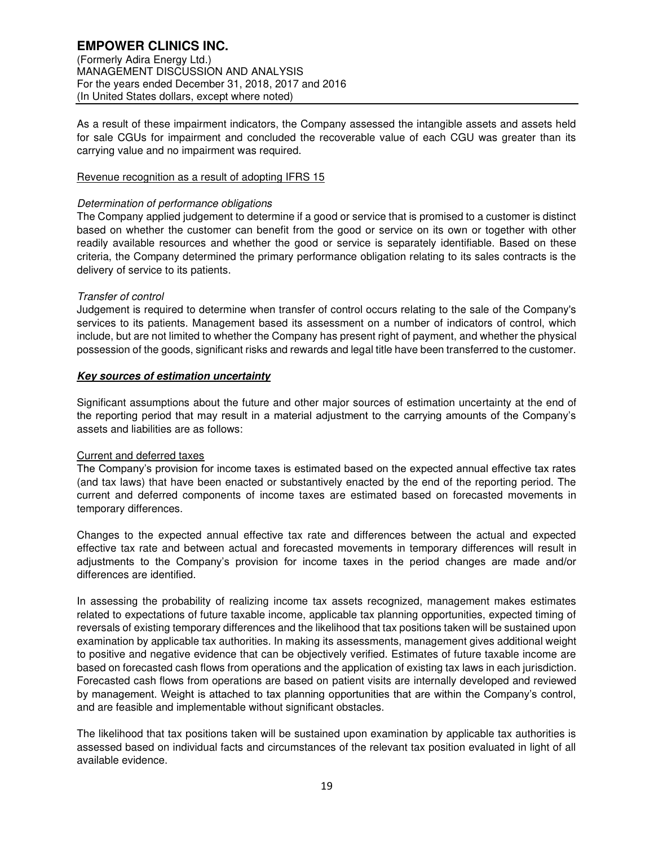(Formerly Adira Energy Ltd.) MANAGEMENT DISCUSSION AND ANALYSIS For the years ended December 31, 2018, 2017 and 2016 (In United States dollars, except where noted)

As a result of these impairment indicators, the Company assessed the intangible assets and assets held for sale CGUs for impairment and concluded the recoverable value of each CGU was greater than its carrying value and no impairment was required.

## Revenue recognition as a result of adopting IFRS 15

## Determination of performance obligations

The Company applied judgement to determine if a good or service that is promised to a customer is distinct based on whether the customer can benefit from the good or service on its own or together with other readily available resources and whether the good or service is separately identifiable. Based on these criteria, the Company determined the primary performance obligation relating to its sales contracts is the delivery of service to its patients.

## Transfer of control

Judgement is required to determine when transfer of control occurs relating to the sale of the Company's services to its patients. Management based its assessment on a number of indicators of control, which include, but are not limited to whether the Company has present right of payment, and whether the physical possession of the goods, significant risks and rewards and legal title have been transferred to the customer.

# **Key sources of estimation uncertainty**

Significant assumptions about the future and other major sources of estimation uncertainty at the end of the reporting period that may result in a material adjustment to the carrying amounts of the Company's assets and liabilities are as follows:

# Current and deferred taxes

The Company's provision for income taxes is estimated based on the expected annual effective tax rates (and tax laws) that have been enacted or substantively enacted by the end of the reporting period. The current and deferred components of income taxes are estimated based on forecasted movements in temporary differences.

Changes to the expected annual effective tax rate and differences between the actual and expected effective tax rate and between actual and forecasted movements in temporary differences will result in adjustments to the Company's provision for income taxes in the period changes are made and/or differences are identified.

In assessing the probability of realizing income tax assets recognized, management makes estimates related to expectations of future taxable income, applicable tax planning opportunities, expected timing of reversals of existing temporary differences and the likelihood that tax positions taken will be sustained upon examination by applicable tax authorities. In making its assessments, management gives additional weight to positive and negative evidence that can be objectively verified. Estimates of future taxable income are based on forecasted cash flows from operations and the application of existing tax laws in each jurisdiction. Forecasted cash flows from operations are based on patient visits are internally developed and reviewed by management. Weight is attached to tax planning opportunities that are within the Company's control, and are feasible and implementable without significant obstacles.

The likelihood that tax positions taken will be sustained upon examination by applicable tax authorities is assessed based on individual facts and circumstances of the relevant tax position evaluated in light of all available evidence.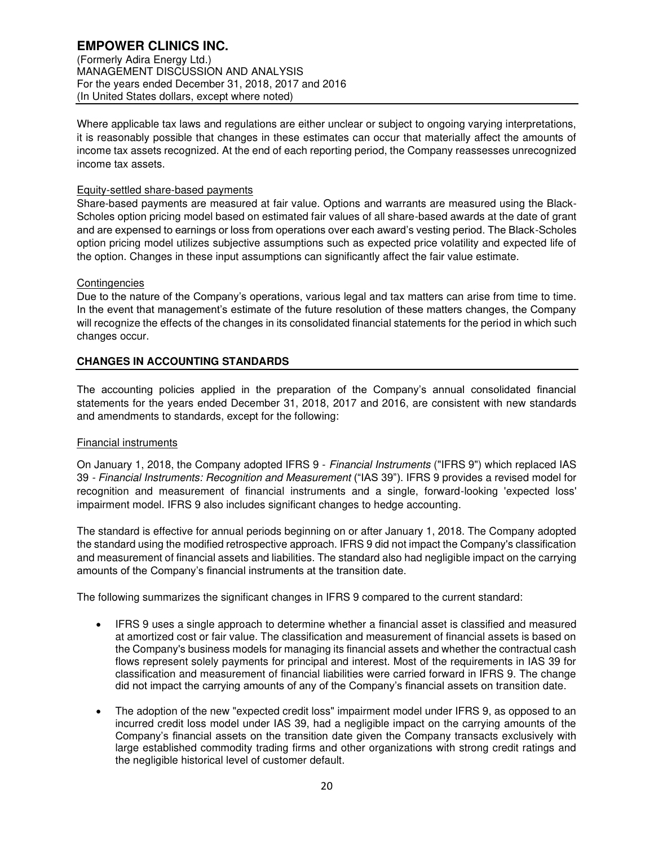(Formerly Adira Energy Ltd.) MANAGEMENT DISCUSSION AND ANALYSIS For the years ended December 31, 2018, 2017 and 2016 (In United States dollars, except where noted)

Where applicable tax laws and regulations are either unclear or subject to ongoing varying interpretations, it is reasonably possible that changes in these estimates can occur that materially affect the amounts of income tax assets recognized. At the end of each reporting period, the Company reassesses unrecognized income tax assets.

## Equity-settled share-based payments

Share-based payments are measured at fair value. Options and warrants are measured using the Black-Scholes option pricing model based on estimated fair values of all share-based awards at the date of grant and are expensed to earnings or loss from operations over each award's vesting period. The Black-Scholes option pricing model utilizes subjective assumptions such as expected price volatility and expected life of the option. Changes in these input assumptions can significantly affect the fair value estimate.

## **Contingencies**

Due to the nature of the Company's operations, various legal and tax matters can arise from time to time. In the event that management's estimate of the future resolution of these matters changes, the Company will recognize the effects of the changes in its consolidated financial statements for the period in which such changes occur.

# **CHANGES IN ACCOUNTING STANDARDS**

The accounting policies applied in the preparation of the Company's annual consolidated financial statements for the years ended December 31, 2018, 2017 and 2016, are consistent with new standards and amendments to standards, except for the following:

# Financial instruments

On January 1, 2018, the Company adopted IFRS 9 - Financial Instruments ("IFRS 9") which replaced IAS 39 - Financial Instruments: Recognition and Measurement ("IAS 39"). IFRS 9 provides a revised model for recognition and measurement of financial instruments and a single, forward-looking 'expected loss' impairment model. IFRS 9 also includes significant changes to hedge accounting.

The standard is effective for annual periods beginning on or after January 1, 2018. The Company adopted the standard using the modified retrospective approach. IFRS 9 did not impact the Company's classification and measurement of financial assets and liabilities. The standard also had negligible impact on the carrying amounts of the Company's financial instruments at the transition date.

The following summarizes the significant changes in IFRS 9 compared to the current standard:

- IFRS 9 uses a single approach to determine whether a financial asset is classified and measured at amortized cost or fair value. The classification and measurement of financial assets is based on the Company's business models for managing its financial assets and whether the contractual cash flows represent solely payments for principal and interest. Most of the requirements in IAS 39 for classification and measurement of financial liabilities were carried forward in IFRS 9. The change did not impact the carrying amounts of any of the Company's financial assets on transition date.
- The adoption of the new "expected credit loss" impairment model under IFRS 9, as opposed to an incurred credit loss model under IAS 39, had a negligible impact on the carrying amounts of the Company's financial assets on the transition date given the Company transacts exclusively with large established commodity trading firms and other organizations with strong credit ratings and the negligible historical level of customer default.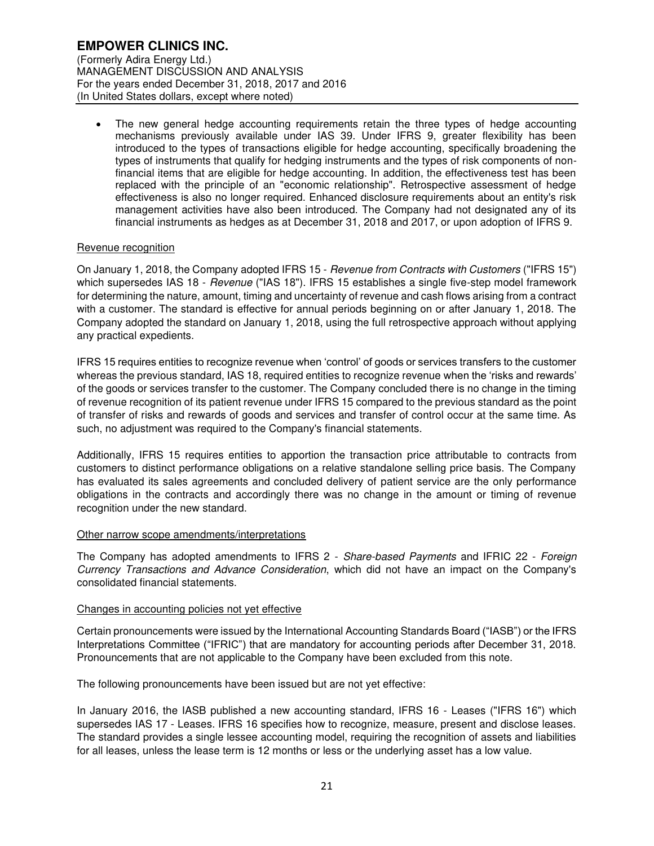The new general hedge accounting requirements retain the three types of hedge accounting mechanisms previously available under IAS 39. Under IFRS 9, greater flexibility has been introduced to the types of transactions eligible for hedge accounting, specifically broadening the types of instruments that qualify for hedging instruments and the types of risk components of nonfinancial items that are eligible for hedge accounting. In addition, the effectiveness test has been replaced with the principle of an "economic relationship". Retrospective assessment of hedge effectiveness is also no longer required. Enhanced disclosure requirements about an entity's risk management activities have also been introduced. The Company had not designated any of its financial instruments as hedges as at December 31, 2018 and 2017, or upon adoption of IFRS 9.

## Revenue recognition

On January 1, 2018, the Company adopted IFRS 15 - Revenue from Contracts with Customers ("IFRS 15") which supersedes IAS 18 - Revenue ("IAS 18"). IFRS 15 establishes a single five-step model framework for determining the nature, amount, timing and uncertainty of revenue and cash flows arising from a contract with a customer. The standard is effective for annual periods beginning on or after January 1, 2018. The Company adopted the standard on January 1, 2018, using the full retrospective approach without applying any practical expedients.

IFRS 15 requires entities to recognize revenue when 'control' of goods or services transfers to the customer whereas the previous standard, IAS 18, required entities to recognize revenue when the 'risks and rewards' of the goods or services transfer to the customer. The Company concluded there is no change in the timing of revenue recognition of its patient revenue under IFRS 15 compared to the previous standard as the point of transfer of risks and rewards of goods and services and transfer of control occur at the same time. As such, no adjustment was required to the Company's financial statements.

Additionally, IFRS 15 requires entities to apportion the transaction price attributable to contracts from customers to distinct performance obligations on a relative standalone selling price basis. The Company has evaluated its sales agreements and concluded delivery of patient service are the only performance obligations in the contracts and accordingly there was no change in the amount or timing of revenue recognition under the new standard.

## Other narrow scope amendments/interpretations

The Company has adopted amendments to IFRS 2 - Share-based Payments and IFRIC 22 - Foreign Currency Transactions and Advance Consideration, which did not have an impact on the Company's consolidated financial statements.

## Changes in accounting policies not yet effective

Certain pronouncements were issued by the International Accounting Standards Board ("IASB") or the IFRS Interpretations Committee ("IFRIC") that are mandatory for accounting periods after December 31, 2018. Pronouncements that are not applicable to the Company have been excluded from this note.

The following pronouncements have been issued but are not yet effective:

In January 2016, the IASB published a new accounting standard, IFRS 16 - Leases ("IFRS 16") which supersedes IAS 17 - Leases. IFRS 16 specifies how to recognize, measure, present and disclose leases. The standard provides a single lessee accounting model, requiring the recognition of assets and liabilities for all leases, unless the lease term is 12 months or less or the underlying asset has a low value.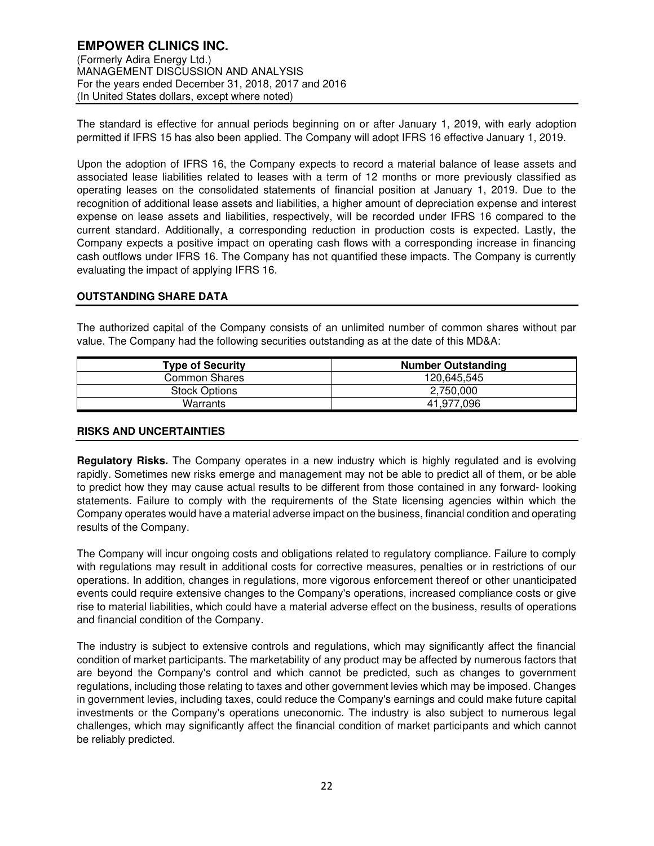The standard is effective for annual periods beginning on or after January 1, 2019, with early adoption permitted if IFRS 15 has also been applied. The Company will adopt IFRS 16 effective January 1, 2019.

Upon the adoption of IFRS 16, the Company expects to record a material balance of lease assets and associated lease liabilities related to leases with a term of 12 months or more previously classified as operating leases on the consolidated statements of financial position at January 1, 2019. Due to the recognition of additional lease assets and liabilities, a higher amount of depreciation expense and interest expense on lease assets and liabilities, respectively, will be recorded under IFRS 16 compared to the current standard. Additionally, a corresponding reduction in production costs is expected. Lastly, the Company expects a positive impact on operating cash flows with a corresponding increase in financing cash outflows under IFRS 16. The Company has not quantified these impacts. The Company is currently evaluating the impact of applying IFRS 16.

## **OUTSTANDING SHARE DATA**

The authorized capital of the Company consists of an unlimited number of common shares without par value. The Company had the following securities outstanding as at the date of this MD&A:

| <b>Type of Security</b> | <b>Number Outstanding</b> |
|-------------------------|---------------------------|
| <b>Common Shares</b>    | 120,645,545               |
| <b>Stock Options</b>    | 2.750.000                 |
| Warrants                | 41.977.096                |

# **RISKS AND UNCERTAINTIES**

**Regulatory Risks.** The Company operates in a new industry which is highly regulated and is evolving rapidly. Sometimes new risks emerge and management may not be able to predict all of them, or be able to predict how they may cause actual results to be different from those contained in any forward- looking statements. Failure to comply with the requirements of the State licensing agencies within which the Company operates would have a material adverse impact on the business, financial condition and operating results of the Company.

The Company will incur ongoing costs and obligations related to regulatory compliance. Failure to comply with regulations may result in additional costs for corrective measures, penalties or in restrictions of our operations. In addition, changes in regulations, more vigorous enforcement thereof or other unanticipated events could require extensive changes to the Company's operations, increased compliance costs or give rise to material liabilities, which could have a material adverse effect on the business, results of operations and financial condition of the Company.

The industry is subject to extensive controls and regulations, which may significantly affect the financial condition of market participants. The marketability of any product may be affected by numerous factors that are beyond the Company's control and which cannot be predicted, such as changes to government regulations, including those relating to taxes and other government levies which may be imposed. Changes in government levies, including taxes, could reduce the Company's earnings and could make future capital investments or the Company's operations uneconomic. The industry is also subject to numerous legal challenges, which may significantly affect the financial condition of market participants and which cannot be reliably predicted.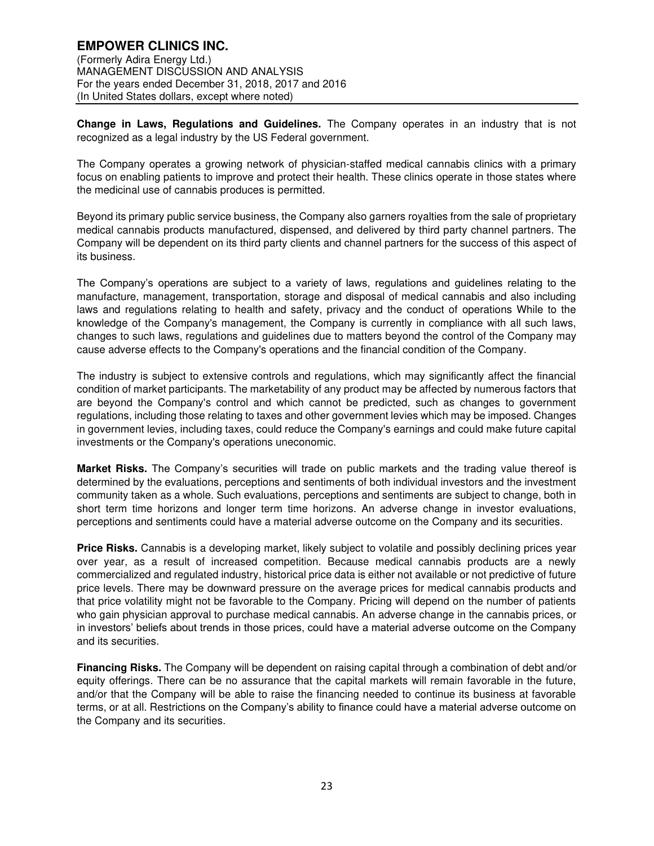**Change in Laws, Regulations and Guidelines.** The Company operates in an industry that is not recognized as a legal industry by the US Federal government.

The Company operates a growing network of physician-staffed medical cannabis clinics with a primary focus on enabling patients to improve and protect their health. These clinics operate in those states where the medicinal use of cannabis produces is permitted.

Beyond its primary public service business, the Company also garners royalties from the sale of proprietary medical cannabis products manufactured, dispensed, and delivered by third party channel partners. The Company will be dependent on its third party clients and channel partners for the success of this aspect of its business.

The Company's operations are subject to a variety of laws, regulations and guidelines relating to the manufacture, management, transportation, storage and disposal of medical cannabis and also including laws and regulations relating to health and safety, privacy and the conduct of operations While to the knowledge of the Company's management, the Company is currently in compliance with all such laws, changes to such laws, regulations and guidelines due to matters beyond the control of the Company may cause adverse effects to the Company's operations and the financial condition of the Company.

The industry is subject to extensive controls and regulations, which may significantly affect the financial condition of market participants. The marketability of any product may be affected by numerous factors that are beyond the Company's control and which cannot be predicted, such as changes to government regulations, including those relating to taxes and other government levies which may be imposed. Changes in government levies, including taxes, could reduce the Company's earnings and could make future capital investments or the Company's operations uneconomic.

**Market Risks.** The Company's securities will trade on public markets and the trading value thereof is determined by the evaluations, perceptions and sentiments of both individual investors and the investment community taken as a whole. Such evaluations, perceptions and sentiments are subject to change, both in short term time horizons and longer term time horizons. An adverse change in investor evaluations, perceptions and sentiments could have a material adverse outcome on the Company and its securities.

**Price Risks.** Cannabis is a developing market, likely subject to volatile and possibly declining prices year over year, as a result of increased competition. Because medical cannabis products are a newly commercialized and regulated industry, historical price data is either not available or not predictive of future price levels. There may be downward pressure on the average prices for medical cannabis products and that price volatility might not be favorable to the Company. Pricing will depend on the number of patients who gain physician approval to purchase medical cannabis. An adverse change in the cannabis prices, or in investors' beliefs about trends in those prices, could have a material adverse outcome on the Company and its securities.

**Financing Risks.** The Company will be dependent on raising capital through a combination of debt and/or equity offerings. There can be no assurance that the capital markets will remain favorable in the future, and/or that the Company will be able to raise the financing needed to continue its business at favorable terms, or at all. Restrictions on the Company's ability to finance could have a material adverse outcome on the Company and its securities.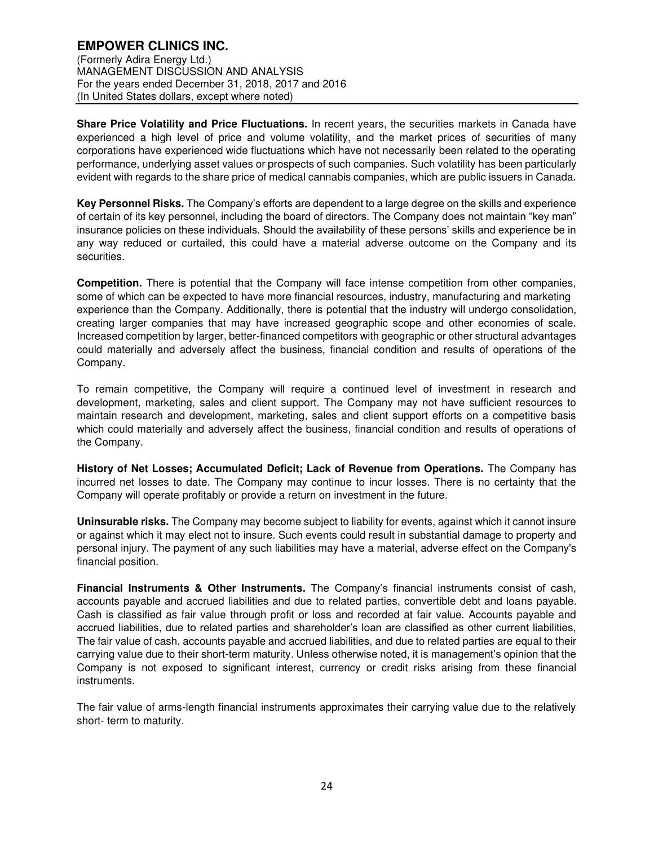**Share Price Volatility and Price Fluctuations.** In recent years, the securities markets in Canada have experienced a high level of price and volume volatility, and the market prices of securities of many corporations have experienced wide fluctuations which have not necessarily been related to the operating performance, underlying asset values or prospects of such companies. Such volatility has been particularly evident with regards to the share price of medical cannabis companies, which are public issuers in Canada.

**Key Personnel Risks.** The Company's efforts are dependent to a large degree on the skills and experience of certain of its key personnel, including the board of directors. The Company does not maintain "key man" insurance policies on these individuals. Should the availability of these persons' skills and experience be in any way reduced or curtailed, this could have a material adverse outcome on the Company and its securities.

**Competition.** There is potential that the Company will face intense competition from other companies, some of which can be expected to have more financial resources, industry, manufacturing and marketing experience than the Company. Additionally, there is potential that the industry will undergo consolidation, creating larger companies that may have increased geographic scope and other economies of scale. Increased competition by larger, better-financed competitors with geographic or other structural advantages could materially and adversely affect the business, financial condition and results of operations of the Company.

To remain competitive, the Company will require a continued level of investment in research and development, marketing, sales and client support. The Company may not have sufficient resources to maintain research and development, marketing, sales and client support efforts on a competitive basis which could materially and adversely affect the business, financial condition and results of operations of the Company.

**History of Net Losses; Accumulated Deficit; Lack of Revenue from Operations.** The Company has incurred net losses to date. The Company may continue to incur losses. There is no certainty that the Company will operate profitably or provide a return on investment in the future.

**Uninsurable risks.** The Company may become subject to liability for events, against which it cannot insure or against which it may elect not to insure. Such events could result in substantial damage to property and personal injury. The payment of any such liabilities may have a material, adverse effect on the Company's financial position.

**Financial Instruments & Other Instruments.** The Company's financial instruments consist of cash, accounts payable and accrued liabilities and due to related parties, convertible debt and loans payable. Cash is classified as fair value through profit or loss and recorded at fair value. Accounts payable and accrued liabilities, due to related parties and shareholder's loan are classified as other current liabilities, The fair value of cash, accounts payable and accrued liabilities, and due to related parties are equal to their carrying value due to their short-term maturity. Unless otherwise noted, it is management's opinion that the Company is not exposed to significant interest, currency or credit risks arising from these financial instruments.

The fair value of arms-length financial instruments approximates their carrying value due to the relatively short- term to maturity.